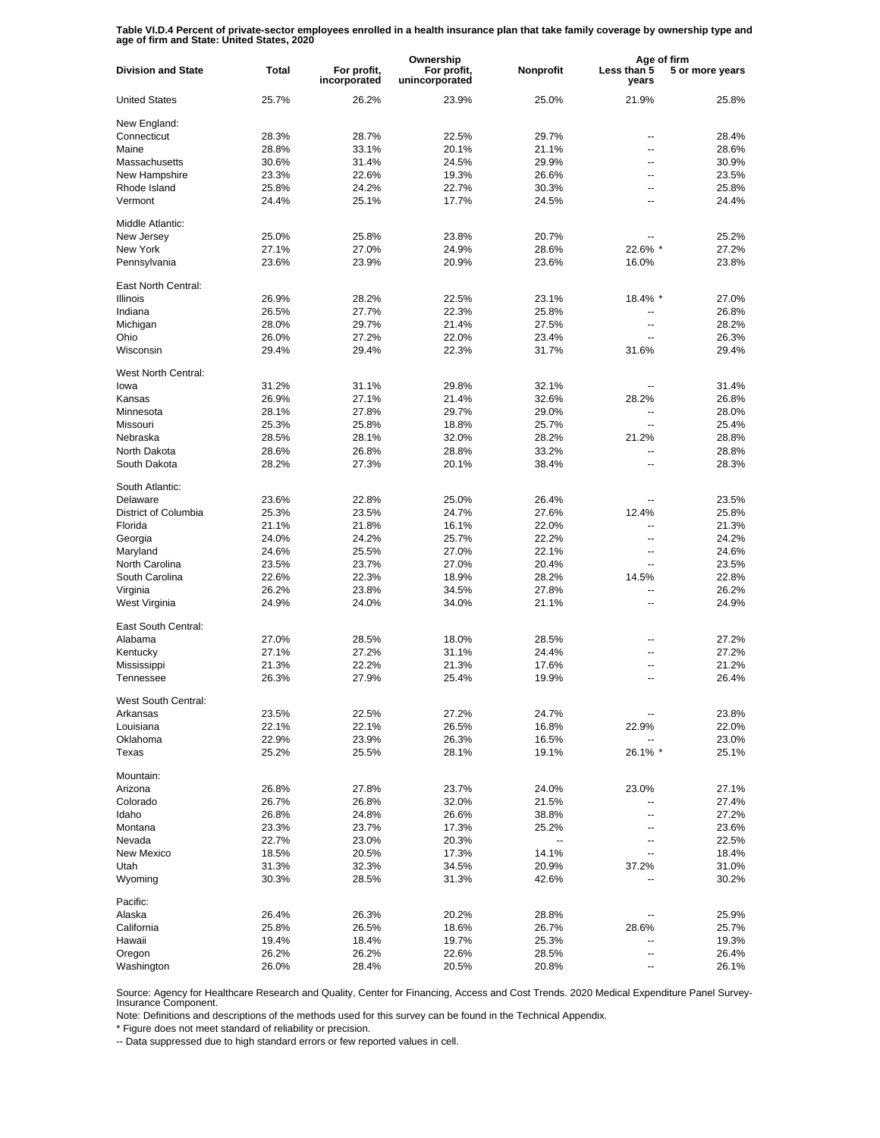**Table VI.D.4 Percent of private-sector employees enrolled in a health insurance plan that take family coverage by ownership type and age of firm and State: United States, 2020**

|                           |              |                             | Ownership                     |                          | Age of firm              |                 |
|---------------------------|--------------|-----------------------------|-------------------------------|--------------------------|--------------------------|-----------------|
| <b>Division and State</b> | <b>Total</b> | For profit,<br>incorporated | For profit,<br>unincorporated | Nonprofit                | Less than 5<br>years     | 5 or more years |
| <b>United States</b>      | 25.7%        | 26.2%                       | 23.9%                         | 25.0%                    | 21.9%                    | 25.8%           |
| New England:              |              |                             |                               |                          |                          |                 |
| Connecticut               | 28.3%        | 28.7%                       | 22.5%                         | 29.7%                    | --                       | 28.4%           |
| Maine                     | 28.8%        | 33.1%                       | 20.1%                         | 21.1%                    | --                       | 28.6%           |
| Massachusetts             | 30.6%        | 31.4%                       | 24.5%                         | 29.9%                    | ۵.                       | 30.9%           |
| New Hampshire             | 23.3%        | 22.6%                       | 19.3%                         | 26.6%                    | --                       | 23.5%           |
|                           |              |                             |                               |                          | --                       |                 |
| Rhode Island              | 25.8%        | 24.2%                       | 22.7%                         | 30.3%                    |                          | 25.8%           |
| Vermont                   | 24.4%        | 25.1%                       | 17.7%                         | 24.5%                    | --                       | 24.4%           |
| Middle Atlantic:          |              |                             |                               |                          |                          |                 |
| New Jersev                | 25.0%        | 25.8%                       | 23.8%                         | 20.7%                    |                          | 25.2%           |
| New York                  | 27.1%        | 27.0%                       | 24.9%                         | 28.6%                    | 22.6% *                  | 27.2%           |
| Pennsylvania              | 23.6%        | 23.9%                       | 20.9%                         | 23.6%                    | 16.0%                    | 23.8%           |
| East North Central:       |              |                             |                               |                          |                          |                 |
| <b>Illinois</b>           | 26.9%        | 28.2%                       | 22.5%                         | 23.1%                    | 18.4% *                  | 27.0%           |
|                           |              |                             |                               |                          |                          |                 |
| Indiana                   | 26.5%        | 27.7%                       | 22.3%                         | 25.8%                    | ۵.                       | 26.8%           |
| Michigan                  | 28.0%        | 29.7%                       | 21.4%                         | 27.5%                    | $\overline{\phantom{a}}$ | 28.2%           |
| Ohio                      | 26.0%        | 27.2%                       | 22.0%                         | 23.4%                    | ۵.                       | 26.3%           |
| Wisconsin                 | 29.4%        | 29.4%                       | 22.3%                         | 31.7%                    | 31.6%                    | 29.4%           |
| West North Central:       |              |                             |                               |                          |                          |                 |
| lowa                      | 31.2%        | 31.1%                       | 29.8%                         | 32.1%                    |                          | 31.4%           |
| Kansas                    | 26.9%        | 27.1%                       | 21.4%                         | 32.6%                    | 28.2%                    | 26.8%           |
|                           | 28.1%        |                             |                               |                          | --                       | 28.0%           |
| Minnesota                 |              | 27.8%                       | 29.7%                         | 29.0%                    |                          |                 |
| Missouri                  | 25.3%        | 25.8%                       | 18.8%                         | 25.7%                    | $\overline{a}$           | 25.4%           |
| Nebraska                  | 28.5%        | 28.1%                       | 32.0%                         | 28.2%                    | 21.2%                    | 28.8%           |
| North Dakota              | 28.6%        | 26.8%                       | 28.8%                         | 33.2%                    | $\overline{a}$           | 28.8%           |
| South Dakota              | 28.2%        | 27.3%                       | 20.1%                         | 38.4%                    | --                       | 28.3%           |
| South Atlantic:           |              |                             |                               |                          |                          |                 |
| Delaware                  | 23.6%        | 22.8%                       | 25.0%                         | 26.4%                    |                          | 23.5%           |
| District of Columbia      | 25.3%        | 23.5%                       | 24.7%                         | 27.6%                    | 12.4%                    | 25.8%           |
| Florida                   | 21.1%        | 21.8%                       | 16.1%                         | 22.0%                    | $\overline{a}$           | 21.3%           |
| Georgia                   | 24.0%        | 24.2%                       | 25.7%                         | 22.2%                    | $\overline{a}$           | 24.2%           |
| Maryland                  | 24.6%        | 25.5%                       | 27.0%                         | 22.1%                    | $\overline{a}$           | 24.6%           |
| North Carolina            | 23.5%        | 23.7%                       | 27.0%                         | 20.4%                    | $\overline{\phantom{a}}$ | 23.5%           |
|                           |              |                             |                               |                          |                          |                 |
| South Carolina            | 22.6%        | 22.3%                       | 18.9%                         | 28.2%                    | 14.5%                    | 22.8%           |
| Virginia                  | 26.2%        | 23.8%                       | 34.5%                         | 27.8%                    | $\overline{\phantom{a}}$ | 26.2%           |
| West Virginia             | 24.9%        | 24.0%                       | 34.0%                         | 21.1%                    | $\overline{a}$           | 24.9%           |
| East South Central:       |              |                             |                               |                          |                          |                 |
| Alabama                   | 27.0%        | 28.5%                       | 18.0%                         | 28.5%                    | --                       | 27.2%           |
| Kentucky                  | 27.1%        | 27.2%                       | 31.1%                         | 24.4%                    | ۵.                       | 27.2%           |
| Mississippi               | 21.3%        | 22.2%                       | 21.3%                         | 17.6%                    | ۵.                       | 21.2%           |
| Tennessee                 | 26.3%        | 27.9%                       | 25.4%                         | 19.9%                    | Ц.                       | 26.4%           |
| West South Central:       |              |                             |                               |                          |                          |                 |
|                           |              |                             |                               |                          |                          |                 |
| Arkansas                  | 23.5%        | 22.5%                       | 27.2%                         | 24.7%                    |                          | 23.8%           |
| Louisiana                 | 22.1%        | 22.1%                       | 26.5%                         | 16.8%                    | 22.9%                    | 22.0%           |
| Oklahoma                  | 22.9%        | 23.9%                       | 26.3%                         | 16.5%                    |                          | 23.0%           |
| Texas                     | 25.2%        | 25.5%                       | 28.1%                         | 19.1%                    | 26.1% *                  | 25.1%           |
| Mountain:                 |              |                             |                               |                          |                          |                 |
| Arizona                   | 26.8%        | 27.8%                       | 23.7%                         | 24.0%                    | 23.0%                    | 27.1%           |
| Colorado                  | 26.7%        | 26.8%                       | 32.0%                         | 21.5%                    | --                       | 27.4%           |
| Idaho                     | 26.8%        | 24.8%                       | 26.6%                         | 38.8%                    | --                       | 27.2%           |
| Montana                   | 23.3%        | 23.7%                       | 17.3%                         | 25.2%                    | --                       | 23.6%           |
| Nevada                    | 22.7%        |                             |                               |                          |                          |                 |
|                           |              | 23.0%                       | 20.3%                         | $\overline{\phantom{a}}$ | --                       | 22.5%           |
| New Mexico                | 18.5%        | 20.5%                       | 17.3%                         | 14.1%                    | --                       | 18.4%           |
| Utah                      | 31.3%        | 32.3%                       | 34.5%                         | 20.9%                    | 37.2%                    | 31.0%           |
| Wyoming                   | 30.3%        | 28.5%                       | 31.3%                         | 42.6%                    |                          | 30.2%           |
| Pacific:                  |              |                             |                               |                          |                          |                 |
| Alaska                    | 26.4%        | 26.3%                       | 20.2%                         | 28.8%                    |                          | 25.9%           |
| California                | 25.8%        | 26.5%                       | 18.6%                         | 26.7%                    | 28.6%                    | 25.7%           |
| Hawaii                    | 19.4%        | 18.4%                       | 19.7%                         | 25.3%                    | --                       | 19.3%           |
| Oregon                    | 26.2%        | 26.2%                       | 22.6%                         | 28.5%                    | --                       | 26.4%           |
| Washington                | 26.0%        | 28.4%                       | 20.5%                         | 20.8%                    |                          | 26.1%           |

Source: Agency for Healthcare Research and Quality, Center for Financing, Access and Cost Trends. 2020 Medical Expenditure Panel Survey-Insurance Component.

Note: Definitions and descriptions of the methods used for this survey can be found in the Technical Appendix.

\* Figure does not meet standard of reliability or precision.

-- Data suppressed due to high standard errors or few reported values in cell.